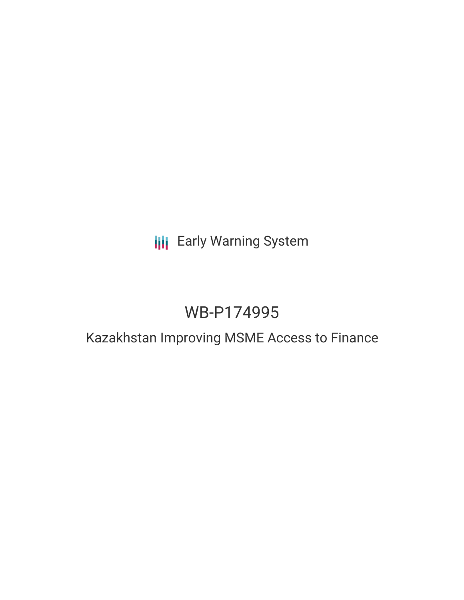# **III** Early Warning System

# WB-P174995

## Kazakhstan Improving MSME Access to Finance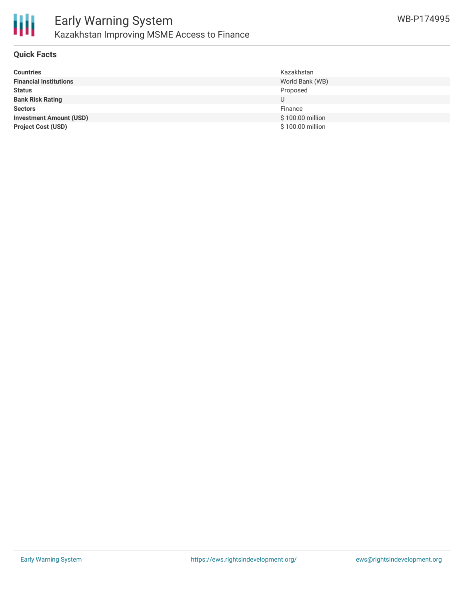

#### **Quick Facts**

| <b>Countries</b>               | Kazakhstan       |
|--------------------------------|------------------|
| <b>Financial Institutions</b>  | World Bank (WB)  |
| <b>Status</b>                  | Proposed         |
| <b>Bank Risk Rating</b>        | U                |
| <b>Sectors</b>                 | Finance          |
| <b>Investment Amount (USD)</b> | \$100.00 million |
| <b>Project Cost (USD)</b>      | \$100.00 million |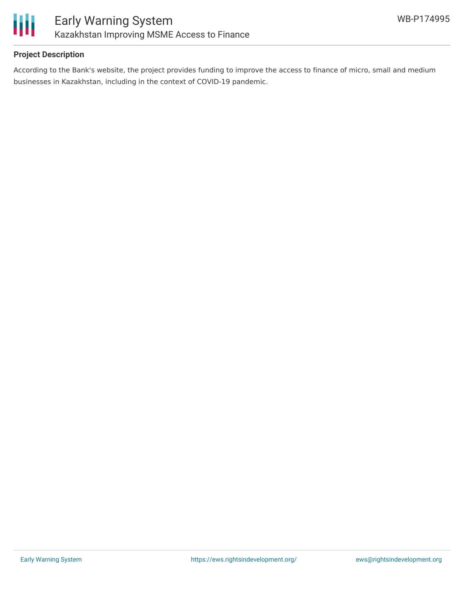

### **Project Description**

According to the Bank's website, the project provides funding to improve the access to finance of micro, small and medium businesses in Kazakhstan, including in the context of COVID-19 pandemic.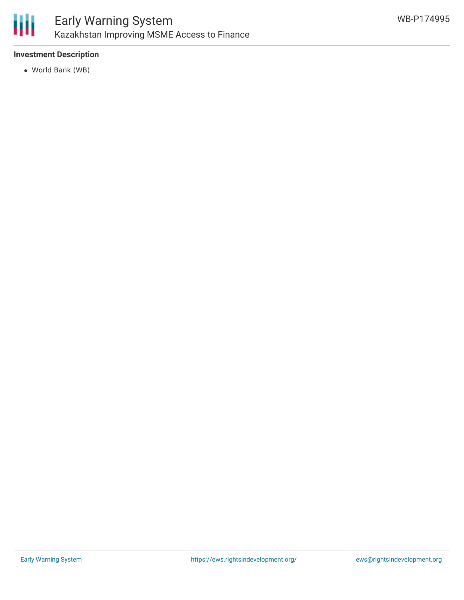

### **Investment Description**

World Bank (WB)